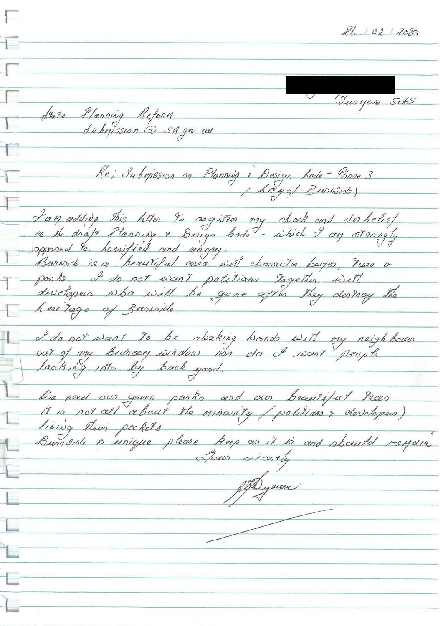$2618212026$ Jusyon 5065 Have Planning Reform Re; Subrission on Plannidg, Dasign bode - Phase 3 Langued we This letter to register my abook and disobelief<br>ne the direct Planning & Design bode - which I am strongly<br>opposed to homified and an any.<br>Burnside is a beautiful area well chanceles boyer, there of<br>parts. I do here lage of Burnido 2 do not want to be abaking bands with my neighboron<br>out of my bednoom window non do I want people De need our green peintes and our beautiful trees<br>it is not all about the minority / politions , developers) lière) pockets<br>Burnside is unique please keep as it is and plocedd romain JA your